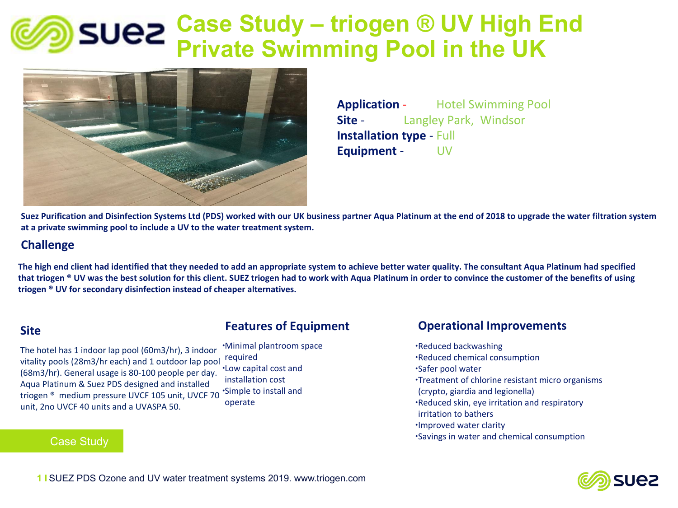## **Case Study – triogen ® UV High End Private Swimming Pool in the UK**



**Application** - Hotel Swimming Pool **Site** *-* Langley Park, Windsor **Installation type** - Full **Equipment** - UV

**Suez Purification and Disinfection Systems Ltd (PDS) worked with our UK business partner Aqua Platinum at the end of 2018 to upgrade the water filtration system at a private swimming pool to include a UV to the water treatment system.**

### **Challenge**

**The high end client had identified that they needed to add an appropriate system to achieve better water quality. The consultant Aqua Platinum had specified that triogen ® UV was the best solution for this client. SUEZ triogen had to work with Aqua Platinum in order to convince the customer of the benefits of using triogen ® UV for secondary disinfection instead of cheaper alternatives.**

### **Site**

ua Platinum & Suez PDS designed and installe<br>ogen ® medium pressure UVCF 105 unit, UVC unit, 2no UVCF 40 units and a UVASPA 50.<br> triogen ® medium pressure UVCF 105 unit, UVCF 70<br>unit, 2no UVCE 40 units and a UVASPA 50 The hotel has 1 indoor lap pool (60m3/hr), 3 indoor vitality pools (28m3/hr each) and 1 outdoor lap pool (68m3/hr). General usage is 80-100 people per day. Aqua Platinum & Suez PDS designed and installed

### Case Study

### **Features of Equipment**

∙Minimal plantroom space required ∙Low capital cost and installation cost ∙Simple to install and operate

## **Operational Improvements**

∙Reduced backwashing ∙Reduced chemical consumption ∙Safer pool water ∙Treatment of chlorine resistant micro organisms (crypto, giardia and legionella) ∙Reduced skin, eye irritation and respiratory irritation to bathers ∙Improved water clarity ∙Savings in water and chemical consumption